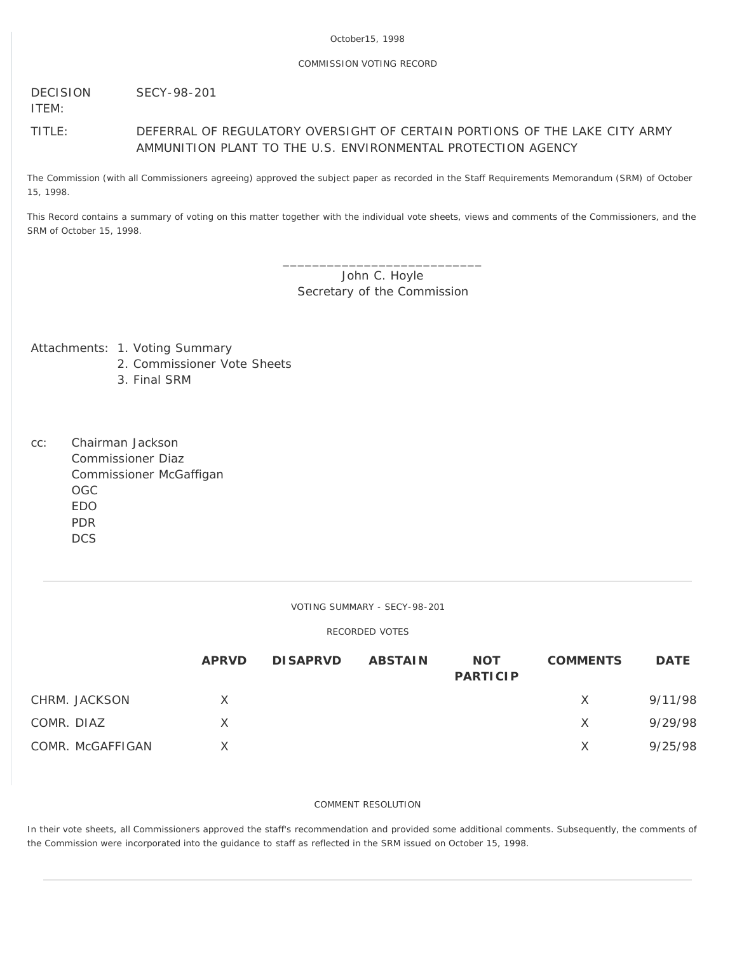#### COMMISSION VOTING RECORD

DECISION SECY-98-201

ITEM:

# TITLE: DEFERRAL OF REGULATORY OVERSIGHT OF CERTAIN PORTIONS OF THE LAKE CITY ARMY AMMUNITION PLANT TO THE U.S. ENVIRONMENTAL PROTECTION AGENCY

The Commission (with all Commissioners agreeing) approved the subject paper as recorded in the Staff Requirements Memorandum (SRM) of October 15, 1998.

This Record contains a summary of voting on this matter together with the individual vote sheets, views and comments of the Commissioners, and the SRM of October 15, 1998.

> \_\_\_\_\_\_\_\_\_\_\_\_\_\_\_\_\_\_\_\_\_\_\_\_\_\_\_ John C. Hoyle Secretary of the Commission

Attachments: 1. Voting Summary

- 2. Commissioner Vote Sheets
- 3. Final SRM
- cc: Chairman Jackson Commissioner Diaz Commissioner McGaffigan OGC EDO PDR **DCS**

### VOTING SUMMARY - SECY-98-201

### RECORDED VOTES

|                  | <b>APRVD</b> | <b>DISAPRVD</b> | <b>ABSTAIN</b> | <b>NOT</b><br><b>PARTICIP</b> | <b>COMMENTS</b> | <b>DATE</b> |
|------------------|--------------|-----------------|----------------|-------------------------------|-----------------|-------------|
| CHRM. JACKSON    | X            |                 |                |                               | X.              | 9/11/98     |
| COMR. DIAZ       | X            |                 |                |                               | X.              | 9/29/98     |
| COMR. McGAFFIGAN |              |                 |                |                               | X               | 9/25/98     |

## COMMENT RESOLUTION

In their vote sheets, all Commissioners approved the staff's recommendation and provided some additional comments. Subsequently, the comments of the Commission were incorporated into the guidance to staff as reflected in the SRM issued on October 15, 1998.